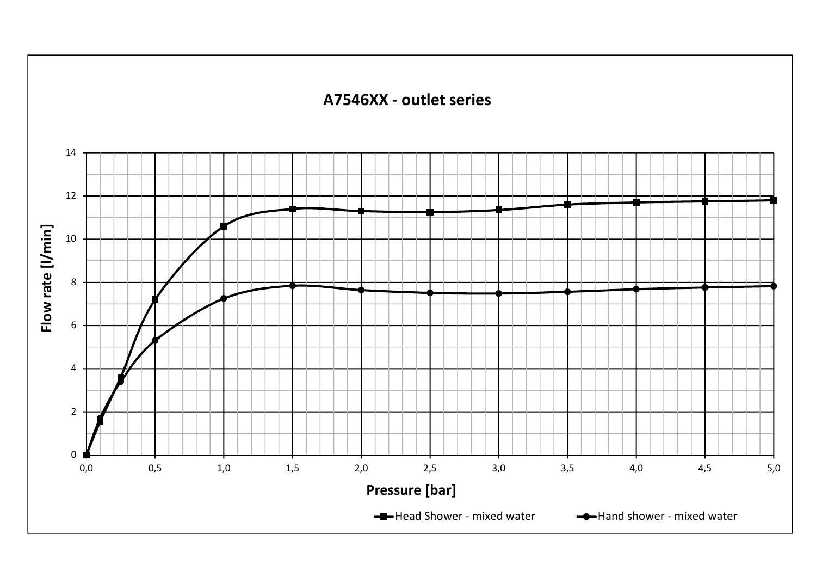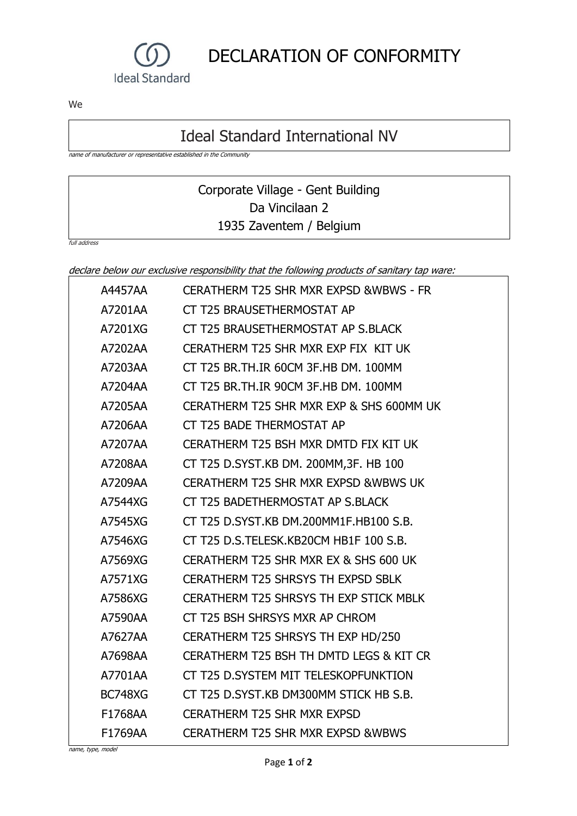

DECLARATION OF CONFORMITY

We

## Ideal Standard International NV

name of manufacturer or representative established in the Community

## Corporate Village - Gent Building Da Vincilaan 2 1935 Zaventem / Belgium

full address

declare below our exclusive responsibility that the following products of sanitary tap ware:

| A4457AA        | <b>CERATHERM T25 SHR MXR EXPSD &amp;WBWS - FR</b> |
|----------------|---------------------------------------------------|
| A7201AA        | CT T25 BRAUSETHERMOSTAT AP                        |
| A7201XG        | CT T25 BRAUSETHERMOSTAT AP S.BLACK                |
| A7202AA        | CERATHERM T25 SHR MXR EXP FIX KIT UK              |
| A7203AA        | CT T25 BR.TH.IR 60CM 3F.HB DM, 100MM              |
| A7204AA        | CT T25 BR.TH.IR 90CM 3F.HB DM. 100MM              |
| A7205AA        | CERATHERM T25 SHR MXR EXP & SHS 600MM UK          |
| A7206AA        | CT T25 BADE THERMOSTAT AP                         |
| A7207AA        | CERATHERM T25 BSH MXR DMTD FIX KIT UK             |
| A7208AA        | CT T25 D.SYST.KB DM. 200MM, 3F. HB 100            |
| A7209AA        | <b>CERATHERM T25 SHR MXR EXPSD &amp; WBWS UK</b>  |
| A7544XG        | CT T25 BADETHERMOSTAT AP S.BLACK                  |
| A7545XG        | CT T25 D.SYST.KB DM.200MM1F.HB100 S.B.            |
| A7546XG        | CT T25 D.S.TELESK, KB20CM HB1F 100 S.B.           |
| A7569XG        | CERATHERM T25 SHR MXR EX & SHS 600 UK             |
| A7571XG        | <b>CERATHERM T25 SHRSYS TH EXPSD SBLK</b>         |
| A7586XG        | CERATHERM T25 SHRSYS TH EXP STICK MBLK            |
| A7590AA        | CT T25 BSH SHRSYS MXR AP CHROM                    |
| A7627AA        | CERATHERM T25 SHRSYS TH EXP HD/250                |
| A7698AA        | CERATHERM T25 BSH TH DMTD LEGS & KIT CR           |
| A7701AA        | CT T25 D.SYSTEM MIT TELESKOPFUNKTION              |
| <b>BC748XG</b> | CT T25 D.SYST.KB DM300MM STICK HB S.B.            |
| F1768AA        | <b>CERATHERM T25 SHR MXR EXPSD</b>                |
| F1769AA        | <b>CERATHERM T25 SHR MXR EXPSD &amp; WBWS</b>     |

name, type, model